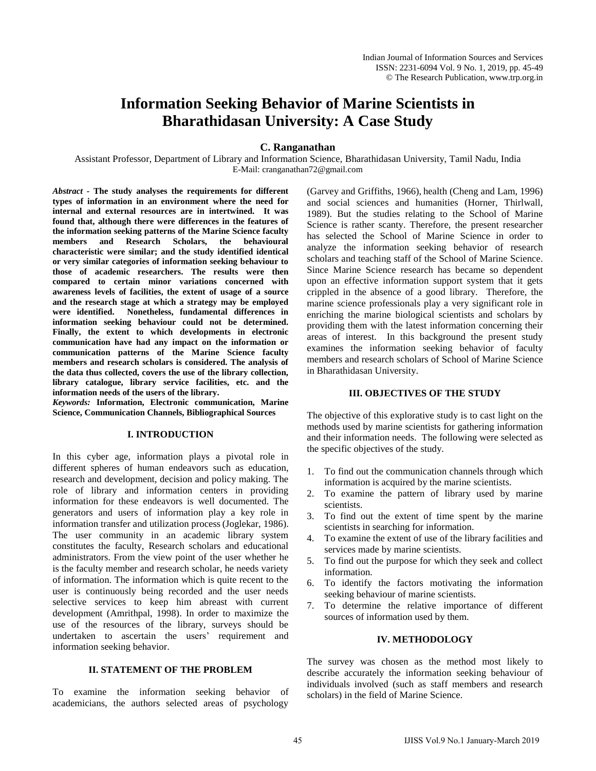# **Information Seeking Behavior of Marine Scientists in Bharathidasan University: A Case Study**

**C. Ranganathan** 

Assistant Professor, Department of Library and Information Science, Bharathidasan University, Tamil Nadu, India E-Mail: cranganathan72@gmail.com

*Abstract -* **The study analyses the requirements for different types of information in an environment where the need for internal and external resources are in intertwined. It was found that, although there were differences in the features of the information seeking patterns of the Marine Science faculty members and Research Scholars, the behavioural characteristic were similar; and the study identified identical or very similar categories of information seeking behaviour to those of academic researchers. The results were then compared to certain minor variations concerned with awareness levels of facilities, the extent of usage of a source and the research stage at which a strategy may be employed were identified. Nonetheless, fundamental differences in information seeking behaviour could not be determined. Finally, the extent to which developments in electronic communication have had any impact on the information or communication patterns of the Marine Science faculty members and research scholars is considered. The analysis of the data thus collected, covers the use of the library collection, library catalogue, library service facilities, etc. and the information needs of the users of the library.**

*Keywords:* **Information, Electronic communication, Marine Science, Communication Channels, Bibliographical Sources**

## **I. INTRODUCTION**

In this cyber age, information plays a pivotal role in different spheres of human endeavors such as education, research and development, decision and policy making. The role of library and information centers in providing information for these endeavors is well documented. The generators and users of information play a key role in information transfer and utilization process(Joglekar, 1986). The user community in an academic library system constitutes the faculty, Research scholars and educational administrators. From the view point of the user whether he is the faculty member and research scholar, he needs variety of information. The information which is quite recent to the user is continuously being recorded and the user needs selective services to keep him abreast with current development (Amrithpal, 1998). In order to maximize the use of the resources of the library, surveys should be undertaken to ascertain the users' requirement and information seeking behavior.

## **II. STATEMENT OF THE PROBLEM**

To examine the information seeking behavior of academicians, the authors selected areas of psychology (Garvey and Griffiths, 1966), health (Cheng and Lam, 1996) and social sciences and humanities (Horner, Thirlwall, 1989). But the studies relating to the School of Marine Science is rather scanty. Therefore, the present researcher has selected the School of Marine Science in order to analyze the information seeking behavior of research scholars and teaching staff of the School of Marine Science. Since Marine Science research has became so dependent upon an effective information support system that it gets crippled in the absence of a good library. Therefore, the marine science professionals play a very significant role in enriching the marine biological scientists and scholars by providing them with the latest information concerning their areas of interest. In this background the present study examines the information seeking behavior of faculty members and research scholars of School of Marine Science in Bharathidasan University.

## **III. OBJECTIVES OF THE STUDY**

The objective of this explorative study is to cast light on the methods used by marine scientists for gathering information and their information needs. The following were selected as the specific objectives of the study.

- 1. To find out the communication channels through which information is acquired by the marine scientists.
- 2. To examine the pattern of library used by marine scientists.
- 3. To find out the extent of time spent by the marine scientists in searching for information.
- 4. To examine the extent of use of the library facilities and services made by marine scientists.
- 5. To find out the purpose for which they seek and collect information.
- 6. To identify the factors motivating the information seeking behaviour of marine scientists.
- 7. To determine the relative importance of different sources of information used by them.

## **IV. METHODOLOGY**

The survey was chosen as the method most likely to describe accurately the information seeking behaviour of individuals involved (such as staff members and research scholars) in the field of Marine Science.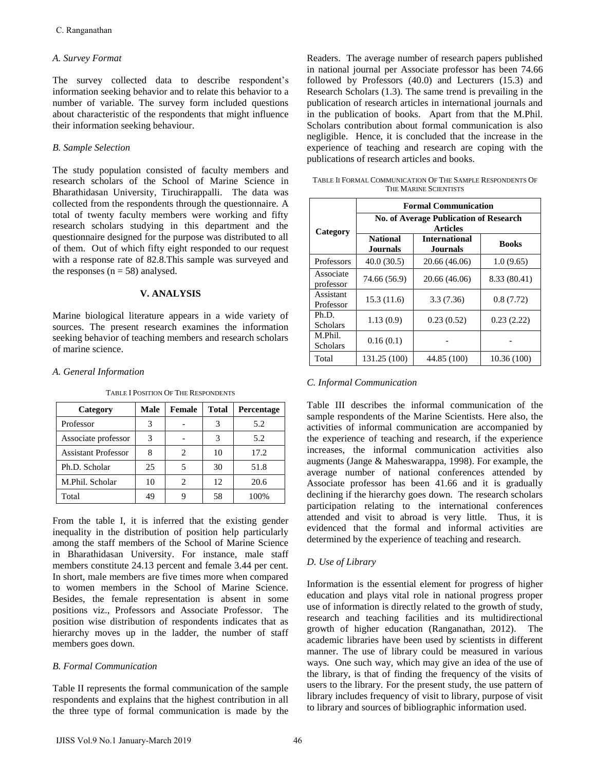## *A. Survey Format*

The survey collected data to describe respondent's information seeking behavior and to relate this behavior to a number of variable. The survey form included questions about characteristic of the respondents that might influence their information seeking behaviour.

## *B. Sample Selection*

The study population consisted of faculty members and research scholars of the School of Marine Science in Bharathidasan University, Tiruchirappalli. The data was collected from the respondents through the questionnaire. A total of twenty faculty members were working and fifty research scholars studying in this department and the questionnaire designed for the purpose was distributed to all of them. Out of which fifty eight responded to our request with a response rate of 82.8.This sample was surveyed and the responses ( $n = 58$ ) analysed.

#### **V. ANALYSIS**

Marine biological literature appears in a wide variety of sources. The present research examines the information seeking behavior of teaching members and research scholars of marine science.

#### *A. General Information*

| Category                   | Male | Female | Total | Percentage |
|----------------------------|------|--------|-------|------------|
| Professor                  | 3    |        |       | 5.2        |
| Associate professor        |      |        |       | 5.2        |
| <b>Assistant Professor</b> |      |        | 10    | 17.2       |
| Ph.D. Scholar              | 25   |        | 30    | 51.8       |
| M.Phil. Scholar            | 10   |        | 12    | 20.6       |
| Total                      | 49   |        | 58    | 100%       |

TABLE I POSITION OF THE RESPONDENTS

From the table I, it is inferred that the existing gender inequality in the distribution of position help particularly among the staff members of the School of Marine Science in Bharathidasan University. For instance, male staff members constitute 24.13 percent and female 3.44 per cent. In short, male members are five times more when compared to women members in the School of Marine Science. Besides, the female representation is absent in some positions viz., Professors and Associate Professor. The position wise distribution of respondents indicates that as hierarchy moves up in the ladder, the number of staff members goes down. C. Ranganathan<br>
In Survey Format<br>
Information secking behavior and to describe respondent's<br>
The survey rolleted data to describe respondent's a<br>
information secking behavior and to relate this behavior to a subset<br>
Infor

## *B. Formal Communication*

Table II represents the formal communication of the sample respondents and explains that the highest contribution in all the three type of formal communication is made by the Readers. The average number of research papers published in national journal per Associate professor has been 74.66 followed by Professors (40.0) and Lecturers (15.3) and Research Scholars (1.3). The same trend is prevailing in the publication of research articles in international journals and in the publication of books. Apart from that the M.Phil. Scholars contribution about formal communication is also negligible. Hence, it is concluded that the increase in the experience of teaching and research are coping with the publications of research articles and books.

TABLE II FORMAL COMMUNICATION OF THE SAMPLE RESPONDENTS OF THE MARINE SCIENTISTS

|                            |                                                                  | <b>Formal Communication</b>      |              |  |  |  |  |  |  |  |
|----------------------------|------------------------------------------------------------------|----------------------------------|--------------|--|--|--|--|--|--|--|
| Category                   | <b>No. of Average Publication of Research</b><br><b>Articles</b> |                                  |              |  |  |  |  |  |  |  |
|                            | <b>National</b><br><b>Journals</b>                               | <b>International</b><br>Journals | <b>Books</b> |  |  |  |  |  |  |  |
| Professors                 | 40.0(30.5)                                                       | 20.66 (46.06)                    | 1.0(9.65)    |  |  |  |  |  |  |  |
| Associate<br>professor     | 74.66 (56.9)                                                     | 20.66 (46.06)                    | 8.33 (80.41) |  |  |  |  |  |  |  |
| Assistant<br>Professor     | 15.3(11.6)                                                       | 3.3(7.36)                        | 0.8(7.72)    |  |  |  |  |  |  |  |
| Ph.D.<br><b>Scholars</b>   | 1.13(0.9)                                                        | 0.23(0.52)                       | 0.23(2.22)   |  |  |  |  |  |  |  |
| M.Phil.<br><b>Scholars</b> | 0.16(0.1)                                                        |                                  |              |  |  |  |  |  |  |  |
| Total                      | 131.25 (100)                                                     | 44.85 (100)                      | 10.36 (100)  |  |  |  |  |  |  |  |

## *C. Informal Communication*

Table III describes the informal communication of the sample respondents of the Marine Scientists. Here also, the activities of informal communication are accompanied by the experience of teaching and research, if the experience increases, the informal communication activities also augments (Jange & Maheswarappa, 1998). For example, the average number of national conferences attended by Associate professor has been 41.66 and it is gradually declining if the hierarchy goes down. The research scholars participation relating to the international conferences attended and visit to abroad is very little. Thus, it is evidenced that the formal and informal activities are determined by the experience of teaching and research.

## *D. Use of Library*

Information is the essential element for progress of higher education and plays vital role in national progress proper use of information is directly related to the growth of study, research and teaching facilities and its multidirectional growth of higher education (Ranganathan, 2012). The academic libraries have been used by scientists in different manner. The use of library could be measured in various ways. One such way, which may give an idea of the use of the library, is that of finding the frequency of the visits of users to the library. For the present study, the use pattern of library includes frequency of visit to library, purpose of visit to library and sources of bibliographic information used.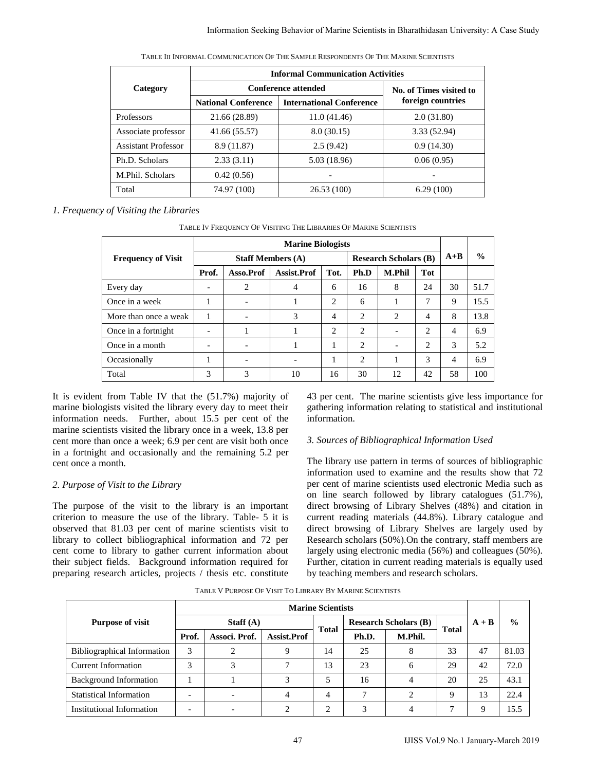|                            | <b>Informal Communication Activities</b> |                         |              |  |  |  |  |  |  |
|----------------------------|------------------------------------------|-------------------------|--------------|--|--|--|--|--|--|
| Category                   | <b>Conference attended</b>               | No. of Times visited to |              |  |  |  |  |  |  |
|                            | <b>National Conference</b>               | foreign countries       |              |  |  |  |  |  |  |
| Professors                 | 21.66 (28.89)                            | 11.0(41.46)             | 2.0(31.80)   |  |  |  |  |  |  |
| Associate professor        | 41.66 (55.57)                            | 8.0(30.15)              | 3.33 (52.94) |  |  |  |  |  |  |
| <b>Assistant Professor</b> | 8.9(11.87)                               | 2.5(9.42)               | 0.9(14.30)   |  |  |  |  |  |  |
| Ph.D. Scholars             | 2.33(3.11)                               | 5.03 (18.96)            | 0.06(0.95)   |  |  |  |  |  |  |
| M.Phil. Scholars           | 0.42(0.56)                               |                         |              |  |  |  |  |  |  |
| Total                      | 74.97 (100)                              | 26.53(100)              | 6.29(100)    |  |  |  |  |  |  |

## *1. Frequency of Visiting the Libraries*

TABLE IV FREQUENCY OF VISITING THE LIBRARIES OF MARINE SCIENTISTS

|                                                                                                                                                                                                                                                                                                                                                                                                                                                                                                                                                                                                      |       |                          |                              | <b>Informal Communication Activities</b>                          |                          |                |                                                                                                                                                                                                                                                                                                                                                                                                                                                                                                                                                                                                                                                                                                                                |                |                         |         |                       |
|------------------------------------------------------------------------------------------------------------------------------------------------------------------------------------------------------------------------------------------------------------------------------------------------------------------------------------------------------------------------------------------------------------------------------------------------------------------------------------------------------------------------------------------------------------------------------------------------------|-------|--------------------------|------------------------------|-------------------------------------------------------------------|--------------------------|----------------|--------------------------------------------------------------------------------------------------------------------------------------------------------------------------------------------------------------------------------------------------------------------------------------------------------------------------------------------------------------------------------------------------------------------------------------------------------------------------------------------------------------------------------------------------------------------------------------------------------------------------------------------------------------------------------------------------------------------------------|----------------|-------------------------|---------|-----------------------|
| Category                                                                                                                                                                                                                                                                                                                                                                                                                                                                                                                                                                                             |       |                          |                              | <b>Conference attended</b>                                        |                          |                |                                                                                                                                                                                                                                                                                                                                                                                                                                                                                                                                                                                                                                                                                                                                |                | No. of Times visited to |         |                       |
|                                                                                                                                                                                                                                                                                                                                                                                                                                                                                                                                                                                                      |       |                          | <b>National Conference</b>   | <b>International Conference</b>                                   |                          |                |                                                                                                                                                                                                                                                                                                                                                                                                                                                                                                                                                                                                                                                                                                                                |                | foreign countries       |         |                       |
| Professors                                                                                                                                                                                                                                                                                                                                                                                                                                                                                                                                                                                           |       |                          | 21.66 (28.89)                |                                                                   | 11.0(41.46)              |                |                                                                                                                                                                                                                                                                                                                                                                                                                                                                                                                                                                                                                                                                                                                                | 2.0(31.80)     |                         |         |                       |
| Associate professor                                                                                                                                                                                                                                                                                                                                                                                                                                                                                                                                                                                  |       |                          | 41.66 (55.57)                |                                                                   | 8.0(30.15)               |                |                                                                                                                                                                                                                                                                                                                                                                                                                                                                                                                                                                                                                                                                                                                                | 3.33 (52.94)   |                         |         |                       |
| <b>Assistant Professor</b>                                                                                                                                                                                                                                                                                                                                                                                                                                                                                                                                                                           |       |                          | 8.9(11.87)                   |                                                                   | 2.5(9.42)                |                |                                                                                                                                                                                                                                                                                                                                                                                                                                                                                                                                                                                                                                                                                                                                | 0.9(14.30)     |                         |         |                       |
| Ph.D. Scholars                                                                                                                                                                                                                                                                                                                                                                                                                                                                                                                                                                                       |       |                          | 2.33(3.11)                   |                                                                   | 5.03 (18.96)             |                |                                                                                                                                                                                                                                                                                                                                                                                                                                                                                                                                                                                                                                                                                                                                | 0.06(0.95)     |                         |         |                       |
| M.Phil. Scholars                                                                                                                                                                                                                                                                                                                                                                                                                                                                                                                                                                                     |       |                          | 0.42(0.56)                   |                                                                   |                          |                |                                                                                                                                                                                                                                                                                                                                                                                                                                                                                                                                                                                                                                                                                                                                |                |                         |         |                       |
| Total                                                                                                                                                                                                                                                                                                                                                                                                                                                                                                                                                                                                |       |                          | 74.97 (100)                  |                                                                   | 26.53 (100)              |                |                                                                                                                                                                                                                                                                                                                                                                                                                                                                                                                                                                                                                                                                                                                                | 6.29(100)      |                         |         |                       |
| of Visiting the Libraries                                                                                                                                                                                                                                                                                                                                                                                                                                                                                                                                                                            |       |                          |                              | TABLE IV FREQUENCY OF VISITING THE LIBRARIES OF MARINE SCIENTISTS |                          |                |                                                                                                                                                                                                                                                                                                                                                                                                                                                                                                                                                                                                                                                                                                                                |                |                         |         |                       |
|                                                                                                                                                                                                                                                                                                                                                                                                                                                                                                                                                                                                      |       |                          |                              | <b>Marine Biologists</b>                                          |                          |                |                                                                                                                                                                                                                                                                                                                                                                                                                                                                                                                                                                                                                                                                                                                                |                |                         |         |                       |
| <b>Frequency of Visit</b>                                                                                                                                                                                                                                                                                                                                                                                                                                                                                                                                                                            |       |                          |                              | <b>Staff Members (A)</b>                                          |                          |                | <b>Research Scholars (B)</b>                                                                                                                                                                                                                                                                                                                                                                                                                                                                                                                                                                                                                                                                                                   |                | $A+B$                   | $\%$    |                       |
|                                                                                                                                                                                                                                                                                                                                                                                                                                                                                                                                                                                                      |       | Prof.                    | Asso.Prof                    | Assist.Prof                                                       | Tot.                     | Ph.D           | M.Phil                                                                                                                                                                                                                                                                                                                                                                                                                                                                                                                                                                                                                                                                                                                         | <b>Tot</b>     |                         |         |                       |
| Every day                                                                                                                                                                                                                                                                                                                                                                                                                                                                                                                                                                                            |       |                          | 2                            | 4                                                                 | 6                        | 16             | 8                                                                                                                                                                                                                                                                                                                                                                                                                                                                                                                                                                                                                                                                                                                              | 24             | 30                      | 51.7    |                       |
| Once in a week                                                                                                                                                                                                                                                                                                                                                                                                                                                                                                                                                                                       |       | $\mathbf{1}$             |                              | 1                                                                 | 2                        | 6              | 1                                                                                                                                                                                                                                                                                                                                                                                                                                                                                                                                                                                                                                                                                                                              | 7              | 9                       | 15.5    |                       |
| More than once a weak                                                                                                                                                                                                                                                                                                                                                                                                                                                                                                                                                                                |       | 1                        | $\overline{\phantom{m}}$     | 3                                                                 | 4                        | 2              | 2                                                                                                                                                                                                                                                                                                                                                                                                                                                                                                                                                                                                                                                                                                                              | 4              | 8                       | 13.8    |                       |
| Once in a fortnight                                                                                                                                                                                                                                                                                                                                                                                                                                                                                                                                                                                  |       | $\overline{\phantom{0}}$ | 1                            | $\mathbf{1}$                                                      | 2                        | $\overline{2}$ |                                                                                                                                                                                                                                                                                                                                                                                                                                                                                                                                                                                                                                                                                                                                | 2              | $\overline{4}$          | 6.9     |                       |
| Once in a month                                                                                                                                                                                                                                                                                                                                                                                                                                                                                                                                                                                      |       |                          |                              |                                                                   |                          |                |                                                                                                                                                                                                                                                                                                                                                                                                                                                                                                                                                                                                                                                                                                                                |                |                         | 5.2     |                       |
|                                                                                                                                                                                                                                                                                                                                                                                                                                                                                                                                                                                                      |       | $\overline{\phantom{0}}$ | $\qquad \qquad -$            | 1                                                                 | 1                        | $\overline{c}$ | $\overline{\phantom{m}}$                                                                                                                                                                                                                                                                                                                                                                                                                                                                                                                                                                                                                                                                                                       | $\overline{c}$ | 3                       |         |                       |
| Occasionally                                                                                                                                                                                                                                                                                                                                                                                                                                                                                                                                                                                         |       | $\mathbf{1}$             | $\overline{a}$               |                                                                   | $\mathbf{1}$             | 2              | $\mathbf{1}$                                                                                                                                                                                                                                                                                                                                                                                                                                                                                                                                                                                                                                                                                                                   | 3              | $\overline{4}$          | 6.9     |                       |
| Total<br>from Table IV that the $(51.7%)$ majority of<br>gists visited the library every day to meet their                                                                                                                                                                                                                                                                                                                                                                                                                                                                                           |       | 3                        | 3                            | 10                                                                | 16                       | 30             | 12<br>43 per cent. The marine scientists give less importance fo<br>gathering information relating to statistical and institutiona                                                                                                                                                                                                                                                                                                                                                                                                                                                                                                                                                                                             | 42             | 58                      | 100     |                       |
| needs. Further, about 15.5 per cent of the<br>tists visited the library once in a week, 13.8 per<br>an once a week; 6.9 per cent are visit both once<br>it and occasionally and the remaining 5.2 per<br>nonth.<br>f Visit to the Library<br>of the visit to the library is an important<br>measure the use of the library. Table- 5 it is<br>it 81.03 per cent of marine scientists visit to<br>ollect bibliographical information and 72 per<br>o library to gather current information about<br>fields. Background information required for<br>search articles, projects / thesis etc. constitute |       |                          |                              | TABLE V PURPOSE OF VISIT TO LIBRARY BY MARINE SCIENTISTS          | information.             |                | 3. Sources of Bibliographical Information Used<br>The library use pattern in terms of sources of bibliographic<br>information used to examine and the results show that 7.<br>per cent of marine scientists used electronic Media such a<br>on line search followed by library catalogues (51.7%)<br>direct browsing of Library Shelves (48%) and citation in<br>current reading materials (44.8%). Library catalogue and<br>direct browsing of Library Shelves are largely used by<br>Research scholars (50%). On the contrary, staff members are<br>largely using electronic media (56%) and colleagues (50%)<br>Further, citation in current reading materials is equally use<br>by teaching members and research scholars. |                |                         |         |                       |
|                                                                                                                                                                                                                                                                                                                                                                                                                                                                                                                                                                                                      |       |                          |                              |                                                                   | <b>Marine Scientists</b> |                |                                                                                                                                                                                                                                                                                                                                                                                                                                                                                                                                                                                                                                                                                                                                |                |                         |         |                       |
|                                                                                                                                                                                                                                                                                                                                                                                                                                                                                                                                                                                                      |       |                          | Staff $(A)$                  |                                                                   |                          |                | <b>Research Scholars (B)</b>                                                                                                                                                                                                                                                                                                                                                                                                                                                                                                                                                                                                                                                                                                   |                |                         | $A + B$ | $\frac{0}{0}$         |
|                                                                                                                                                                                                                                                                                                                                                                                                                                                                                                                                                                                                      | Prof. |                          | Associ. Prof.                | Assist.Prof                                                       | Total                    | Ph.D.          | M.Phil.                                                                                                                                                                                                                                                                                                                                                                                                                                                                                                                                                                                                                                                                                                                        |                | <b>Total</b>            |         |                       |
|                                                                                                                                                                                                                                                                                                                                                                                                                                                                                                                                                                                                      | 3     |                          | $\overline{c}$               | 9                                                                 | 14                       | 25             | 8                                                                                                                                                                                                                                                                                                                                                                                                                                                                                                                                                                                                                                                                                                                              |                | 33                      | 47      |                       |
|                                                                                                                                                                                                                                                                                                                                                                                                                                                                                                                                                                                                      | 3     |                          | 3                            | 7                                                                 | 13                       | 23             | 6                                                                                                                                                                                                                                                                                                                                                                                                                                                                                                                                                                                                                                                                                                                              |                | 29                      | 42      |                       |
| rpose of visit<br>uphical Information<br>nformation<br>and Information                                                                                                                                                                                                                                                                                                                                                                                                                                                                                                                               | 1     |                          | $\mathbf{1}$                 | 3                                                                 | 5                        | 16             | 4                                                                                                                                                                                                                                                                                                                                                                                                                                                                                                                                                                                                                                                                                                                              |                | 20                      | 25      | 81.03<br>72.0<br>43.1 |
| l Information                                                                                                                                                                                                                                                                                                                                                                                                                                                                                                                                                                                        |       |                          | $\qquad \qquad \blacksquare$ | 4                                                                 | 4                        | 7              | 2                                                                                                                                                                                                                                                                                                                                                                                                                                                                                                                                                                                                                                                                                                                              |                | 9                       | 13      | 22.4                  |

It is evident from Table IV that the (51.7%) majority of marine biologists visited the library every day to meet their information needs. Further, about 15.5 per cent of the marine scientists visited the library once in a week, 13.8 per cent more than once a week; 6.9 per cent are visit both once in a fortnight and occasionally and the remaining 5.2 per cent once a month.

# *2. Purpose of Visit to the Library*

The purpose of the visit to the library is an important criterion to measure the use of the library. Table- 5 it is observed that 81.03 per cent of marine scientists visit to library to collect bibliographical information and 72 per cent come to library to gather current information about their subject fields. Background information required for preparing research articles, projects / thesis etc. constitute

## *3. Sources of Bibliographical Information Used*

|  | TABLE V PURPOSE OF VISIT TO LIBRARY BY MARINE SCIENTISTS |  |  |
|--|----------------------------------------------------------|--|--|
|--|----------------------------------------------------------|--|--|

| <b>Purpose of visit</b>            | Staff $(A)$ |               |                    |              |       | <b>Research Scholars (B)</b> |              | $A + B$ | $\frac{6}{9}$ |
|------------------------------------|-------------|---------------|--------------------|--------------|-------|------------------------------|--------------|---------|---------------|
|                                    | Prof.       | Associ. Prof. | <b>Assist.Prof</b> | <b>Total</b> | Ph.D. | M.Phil.                      | <b>Total</b> |         |               |
| <b>Bibliographical Information</b> | 3           |               | 9                  | 14           | 25    | 8                            | 33           | 47      | 81.03         |
| <b>Current Information</b>         | 3           | 3             |                    | 13           | 23    | 6                            | 29           | 42      | 72.0          |
| <b>Background Information</b>      |             |               | 3                  | 5            | 16    | 4                            | 20           | 25      | 43.1          |
| <b>Statistical Information</b>     |             |               |                    | 4            | π     | ◠                            | $\mathbf Q$  | 13      | 22.4          |
| Institutional Information          | -           |               |                    | ◠            |       |                              |              |         | 15.5          |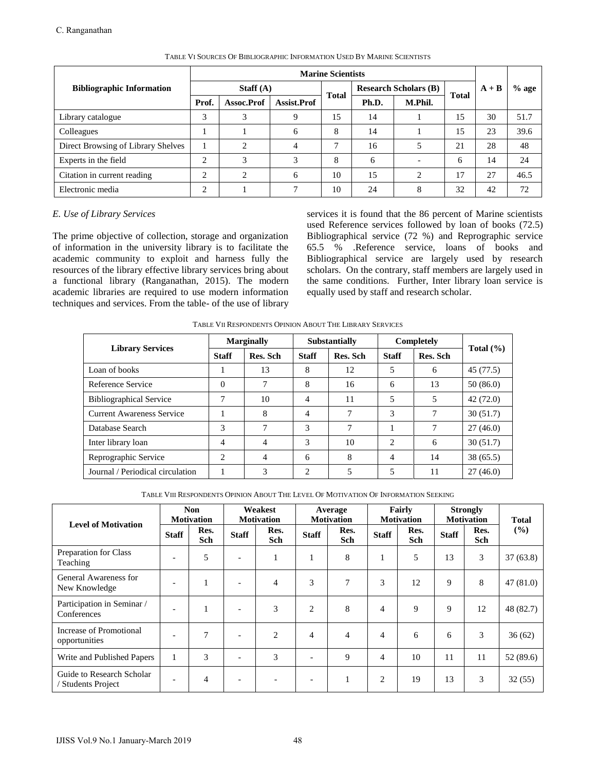|                                    |             |            |              | <b>Marine Scientists</b> |                              |         |              |         |         |
|------------------------------------|-------------|------------|--------------|--------------------------|------------------------------|---------|--------------|---------|---------|
| <b>Bibliographic Information</b>   | Staff $(A)$ |            |              | <b>Total</b>             | <b>Research Scholars (B)</b> |         | <b>Total</b> | $A + B$ | $%$ age |
|                                    | Prof.       | Assoc.Prof | Assist.Prof  |                          | Ph.D.                        | M.Phil. |              |         |         |
| Library catalogue                  | 3           | 3          | 9            | 15                       | 14                           |         | 15           | 30      | 51.7    |
| Colleagues                         |             |            | 6            | 8                        | 14                           |         | 15           | 23      | 39.6    |
| Direct Browsing of Library Shelves |             | $\bigcap$  | 4            | 7                        | 16                           | 5       | 21           | 28      | 48      |
| Experts in the field               | $\bigcap$   | 3          | 3            | 8                        | 6                            |         | 6            | 14      | 24      |
| Citation in current reading        | $\bigcap$   | $\bigcap$  | 6            | 10                       | 15                           | ↑       | 17           | 27      | 46.5    |
| Electronic media                   | ◠           |            | $\mathbf{r}$ | 10                       | 24                           | 8       | 32           | 42      | 72      |

## TABLE VI SOURCES OF BIBLIOGRAPHIC INFORMATION USED BY MARINE SCIENTISTS

## *E. Use of Library Services*

TABLE VII RESPONDENTS OPINION ABOUT THE LIBRARY SERVICES

|                                  |              | <b>Marginally</b> |              | <b>Substantially</b> | Completely     | Total $(\% )$ |           |
|----------------------------------|--------------|-------------------|--------------|----------------------|----------------|---------------|-----------|
| <b>Library Services</b>          | <b>Staff</b> | Res. Sch          | <b>Staff</b> | Res. Sch             | <b>Staff</b>   | Res. Sch      |           |
| Loan of books                    |              | 13                | 8            | 12                   | 5              | 6             | 45 (77.5) |
| Reference Service                | $\Omega$     |                   | 8            | 16                   | 6              | 13            | 50(86.0)  |
| <b>Bibliographical Service</b>   | 7            | 10                | 4            | 11                   | 5              | 5             | 42 (72.0) |
| <b>Current Awareness Service</b> |              | 8                 | 4            | 7                    | 3              | 7             | 30(51.7)  |
| Database Search                  | 3            |                   | 3            | 7                    |                | 7             | 27(46.0)  |
| Inter library loan               | 4            | 4                 | 3            | 10                   | $\mathfrak{D}$ | 6             | 30(51.7)  |
| Reprographic Service             | 2            | $\overline{4}$    | 6            | 8                    | $\overline{4}$ | 14            | 38(65.5)  |
| Journal / Periodical circulation |              | 3                 | 2            | 5                    | 5              | 11            | 27(46.0)  |

TABLE VIII RESPONDENTS OPINION ABOUT THE LEVEL OF MOTIVATION OF INFORMATION SEEKING

|            |                                                                                                                                                                                                                                                                                                                                                                                                                                               |                          |                                  |                |                   |                                                                                     | <b>Marine Scientists</b>                                                                                                                                                                                                                                                                                |                  |                |                                        |                |                                  |           |                               |
|------------|-----------------------------------------------------------------------------------------------------------------------------------------------------------------------------------------------------------------------------------------------------------------------------------------------------------------------------------------------------------------------------------------------------------------------------------------------|--------------------------|----------------------------------|----------------|-------------------|-------------------------------------------------------------------------------------|---------------------------------------------------------------------------------------------------------------------------------------------------------------------------------------------------------------------------------------------------------------------------------------------------------|------------------|----------------|----------------------------------------|----------------|----------------------------------|-----------|-------------------------------|
|            | <b>Bibliographic Information</b>                                                                                                                                                                                                                                                                                                                                                                                                              |                          |                                  |                | Staff $(A)$       |                                                                                     |                                                                                                                                                                                                                                                                                                         |                  |                | <b>Research Scholars (B)</b>           |                | $A + B$                          |           | $%$ age                       |
|            |                                                                                                                                                                                                                                                                                                                                                                                                                                               |                          | Prof.                            |                | Assoc.Prof        | Assist.Prof                                                                         | <b>Total</b>                                                                                                                                                                                                                                                                                            | Ph.D.            |                | M.Phil.                                | <b>Total</b>   |                                  |           |                               |
|            | Library catalogue                                                                                                                                                                                                                                                                                                                                                                                                                             |                          | 3                                |                | 3                 | 9                                                                                   | 15                                                                                                                                                                                                                                                                                                      | 14               |                | $\mathbf{1}$                           | 15             | 30                               |           | 51.7                          |
| Colleagues |                                                                                                                                                                                                                                                                                                                                                                                                                                               |                          | $\mathbf{1}$                     |                | $\mathbf{1}$      | 6                                                                                   | 8                                                                                                                                                                                                                                                                                                       | 14               |                | 1                                      | 15             | 23                               |           | 39.6                          |
|            | Direct Browsing of Library Shelves                                                                                                                                                                                                                                                                                                                                                                                                            |                          | $\mathbf{1}$                     |                | $\overline{2}$    | 4                                                                                   | 7                                                                                                                                                                                                                                                                                                       | 16               |                | 5                                      | 21             | 28                               |           | 48                            |
|            | Experts in the field                                                                                                                                                                                                                                                                                                                                                                                                                          |                          | $\overline{c}$                   |                | 3                 | 3                                                                                   | 8                                                                                                                                                                                                                                                                                                       | 6                |                |                                        | 6              | 14                               |           | 24                            |
|            | Citation in current reading                                                                                                                                                                                                                                                                                                                                                                                                                   |                          | $\mathbf{2}$                     |                | $\mathbf{2}$      | 6                                                                                   | 10                                                                                                                                                                                                                                                                                                      | 15               |                | 2                                      | 17             | 27                               |           | 46.5                          |
|            | Electronic media                                                                                                                                                                                                                                                                                                                                                                                                                              |                          | $\overline{2}$                   |                | $\mathbf{1}$      | $\tau$                                                                              | 10                                                                                                                                                                                                                                                                                                      | 24               |                | $\,8\,$                                | 32             | 42                               |           | 72                            |
|            | The prime objective of collection, storage and organization<br>of information in the university library is to facilitate the<br>academic community to exploit and harness fully the<br>resources of the library effective library services bring about<br>a functional library (Ranganathan, 2015). The modern<br>academic libraries are required to use modern information<br>techniques and services. From the table- of the use of library |                          |                                  |                |                   | TABLE VII RESPONDENTS OPINION ABOUT THE LIBRARY SERVICES                            | Bibliographical service (72 %) and Reprographic service<br>65.5 %<br>Bibliographical service are largely used by research<br>scholars. On the contrary, staff members are largely used in<br>the same conditions. Further, Inter library loan service is<br>equally used by staff and research scholar. |                  |                | .Reference service, loans of books and |                |                                  |           |                               |
|            | <b>Library Services</b>                                                                                                                                                                                                                                                                                                                                                                                                                       |                          |                                  |                | <b>Marginally</b> |                                                                                     | Substantially                                                                                                                                                                                                                                                                                           |                  |                | Completely                             |                | Total (%)                        |           |                               |
|            |                                                                                                                                                                                                                                                                                                                                                                                                                                               |                          |                                  | <b>Staff</b>   | Res. Sch          | <b>Staff</b>                                                                        |                                                                                                                                                                                                                                                                                                         | Res. Sch         | <b>Staff</b>   |                                        | Res. Sch       |                                  |           |                               |
|            | Loan of books                                                                                                                                                                                                                                                                                                                                                                                                                                 |                          |                                  | 1              | 13                | 8                                                                                   |                                                                                                                                                                                                                                                                                                         | 12               | 5              |                                        | 6              | 45 (77.5)                        |           |                               |
|            | Reference Service                                                                                                                                                                                                                                                                                                                                                                                                                             |                          |                                  | $\theta$       | 7                 | 8                                                                                   |                                                                                                                                                                                                                                                                                                         | 16               | 6              |                                        | 13             | 50(86.0)                         |           |                               |
|            | <b>Bibliographical Service</b>                                                                                                                                                                                                                                                                                                                                                                                                                |                          |                                  | $\tau$         | 10                | $\overline{4}$                                                                      |                                                                                                                                                                                                                                                                                                         | 11               | 5              |                                        | 5              | 42 (72.0)                        |           |                               |
|            | <b>Current Awareness Service</b>                                                                                                                                                                                                                                                                                                                                                                                                              |                          |                                  | 1              | 8                 | $\overline{4}$                                                                      |                                                                                                                                                                                                                                                                                                         | $\tau$           | 3              |                                        | $\tau$         | 30(51.7)                         |           |                               |
|            | Database Search                                                                                                                                                                                                                                                                                                                                                                                                                               |                          |                                  | 3              | 7                 | 3                                                                                   |                                                                                                                                                                                                                                                                                                         | $\boldsymbol{7}$ | $\mathbf{1}$   |                                        | $\overline{7}$ | 27(46.0)                         |           |                               |
|            |                                                                                                                                                                                                                                                                                                                                                                                                                                               |                          |                                  |                |                   |                                                                                     |                                                                                                                                                                                                                                                                                                         |                  |                |                                        |                |                                  |           |                               |
|            | Inter library loan                                                                                                                                                                                                                                                                                                                                                                                                                            |                          |                                  | 4              | 4                 | 3                                                                                   |                                                                                                                                                                                                                                                                                                         | 10               | 2              |                                        | 6              | 30(51.7)                         |           |                               |
|            | Reprographic Service                                                                                                                                                                                                                                                                                                                                                                                                                          |                          |                                  | $\overline{2}$ | $\overline{4}$    | 6                                                                                   |                                                                                                                                                                                                                                                                                                         | $\,8\,$          | $\overline{4}$ |                                        | 14             | 38 (65.5)                        |           |                               |
|            | Journal / Periodical circulation                                                                                                                                                                                                                                                                                                                                                                                                              |                          |                                  | 1              | 3                 | $\overline{c}$                                                                      |                                                                                                                                                                                                                                                                                                         | 5                | 5              |                                        | 11             | 27(46.0)                         |           |                               |
|            |                                                                                                                                                                                                                                                                                                                                                                                                                                               |                          | <b>Non</b>                       |                | Weakest           | TABLE VIII RESPONDENTS OPINION ABOUT THE LEVEL OF MOTIVATION OF INFORMATION SEEKING | Average                                                                                                                                                                                                                                                                                                 |                  |                | Fairly                                 |                | <b>Strongly</b>                  |           |                               |
|            | <b>Level of Motivation</b>                                                                                                                                                                                                                                                                                                                                                                                                                    | <b>Staff</b>             | <b>Motivation</b><br>Res.<br>Sch | <b>Staff</b>   | <b>Motivation</b> | Res.<br><b>Staff</b><br>Sch                                                         | <b>Motivation</b><br>Res.<br>Sch                                                                                                                                                                                                                                                                        |                  | <b>Staff</b>   | <b>Motivation</b><br>Res.<br>Sch       | <b>Staff</b>   | <b>Motivation</b><br>Res.<br>Sch |           |                               |
|            | Preparation for Class                                                                                                                                                                                                                                                                                                                                                                                                                         | L,                       | 5                                |                |                   | $\mathbf{1}$<br>$\mathbf{1}$                                                        |                                                                                                                                                                                                                                                                                                         | 8                | $\mathbf{1}$   | 5                                      | 13             | $\mathfrak{Z}$                   | 37(63.8)  |                               |
|            | General Awareness for<br>New Knowledge                                                                                                                                                                                                                                                                                                                                                                                                        | $\overline{\phantom{a}}$ | $\mathbf{1}$                     | $\overline{a}$ |                   | 3<br>$\overline{4}$                                                                 |                                                                                                                                                                                                                                                                                                         | $\tau$           | 3              | 12                                     | 9              | 8                                | 47(81.0)  |                               |
|            | Participation in Seminar /<br>Conferences                                                                                                                                                                                                                                                                                                                                                                                                     | Ĭ.                       | $\mathbf{1}$                     | $\overline{a}$ |                   | 3<br>$\overline{c}$                                                                 | 8                                                                                                                                                                                                                                                                                                       |                  | 4              | 9                                      | 9              | 12                               | 48 (82.7) |                               |
|            | Increase of Promotional<br>opportunities                                                                                                                                                                                                                                                                                                                                                                                                      | ÷,                       | 7                                | $\overline{a}$ |                   | $\overline{2}$<br>$\overline{4}$                                                    |                                                                                                                                                                                                                                                                                                         | 4                | $\overline{4}$ | 6                                      | 6              | 3                                |           |                               |
| Teaching   | Write and Published Papers                                                                                                                                                                                                                                                                                                                                                                                                                    | $\mathbf{1}$             | 3                                | $\overline{a}$ |                   | 3<br>$\overline{a}$                                                                 |                                                                                                                                                                                                                                                                                                         | 9                | $\overline{4}$ | 10                                     | 11             | 11                               | 52 (89.6) | <b>Total</b><br>(%)<br>36(62) |